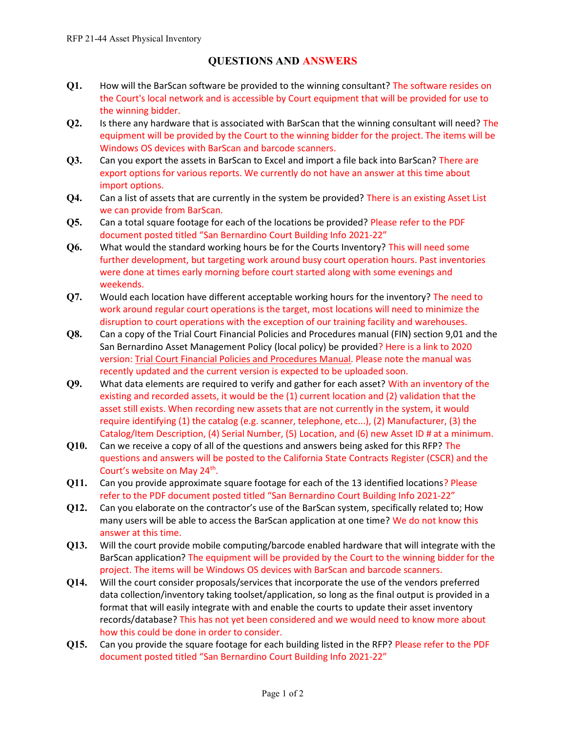## QUESTIONS AND ANSWERS

- Q1. How will the BarScan software be provided to the winning consultant? The software resides on the Court's local network and is accessible by Court equipment that will be provided for use to the winning bidder.
- Q2. Is there any hardware that is associated with BarScan that the winning consultant will need? The equipment will be provided by the Court to the winning bidder for the project. The items will be Windows OS devices with BarScan and barcode scanners.
- Q3. Can you export the assets in BarScan to Excel and import a file back into BarScan? There are export options for various reports. We currently do not have an answer at this time about import options.
- Q4. Can a list of assets that are currently in the system be provided? There is an existing Asset List we can provide from BarScan.
- Q5. Can a total square footage for each of the locations be provided? Please refer to the PDF document posted titled "San Bernardino Court Building Info 2021-22"
- Q6. What would the standard working hours be for the Courts Inventory? This will need some further development, but targeting work around busy court operation hours. Past inventories were done at times early morning before court started along with some evenings and weekends.
- Q7. Would each location have different acceptable working hours for the inventory? The need to work around regular court operations is the target, most locations will need to minimize the disruption to court operations with the exception of our training facility and warehouses.
- Q8. Can a copy of the Trial Court Financial Policies and Procedures manual (FIN) section 9,01 and the San Bernardino Asset Management Policy (local policy) be provided? Here is a link to 2020 version: Trial Court Financial Policies and Procedures Manual. Please note the manual was recently updated and the current version is expected to be uploaded soon.
- Q9. What data elements are required to verify and gather for each asset? With an inventory of the existing and recorded assets, it would be the (1) current location and (2) validation that the asset still exists. When recording new assets that are not currently in the system, it would require identifying (1) the catalog (e.g. scanner, telephone, etc...), (2) Manufacturer, (3) the Catalog/Item Description, (4) Serial Number, (5) Location, and (6) new Asset ID # at a minimum.
- Q10. Can we receive a copy of all of the questions and answers being asked for this RFP? The questions and answers will be posted to the California State Contracts Register (CSCR) and the Court's website on May 24<sup>th</sup>.
- Q11. Can you provide approximate square footage for each of the 13 identified locations? Please refer to the PDF document posted titled "San Bernardino Court Building Info 2021-22"
- Q12. Can you elaborate on the contractor's use of the BarScan system, specifically related to; How many users will be able to access the BarScan application at one time? We do not know this answer at this time.
- Q13. Will the court provide mobile computing/barcode enabled hardware that will integrate with the BarScan application? The equipment will be provided by the Court to the winning bidder for the project. The items will be Windows OS devices with BarScan and barcode scanners.
- Q14. Will the court consider proposals/services that incorporate the use of the vendors preferred data collection/inventory taking toolset/application, so long as the final output is provided in a format that will easily integrate with and enable the courts to update their asset inventory records/database? This has not yet been considered and we would need to know more about how this could be done in order to consider.
- Q15. Can you provide the square footage for each building listed in the RFP? Please refer to the PDF document posted titled "San Bernardino Court Building Info 2021-22"